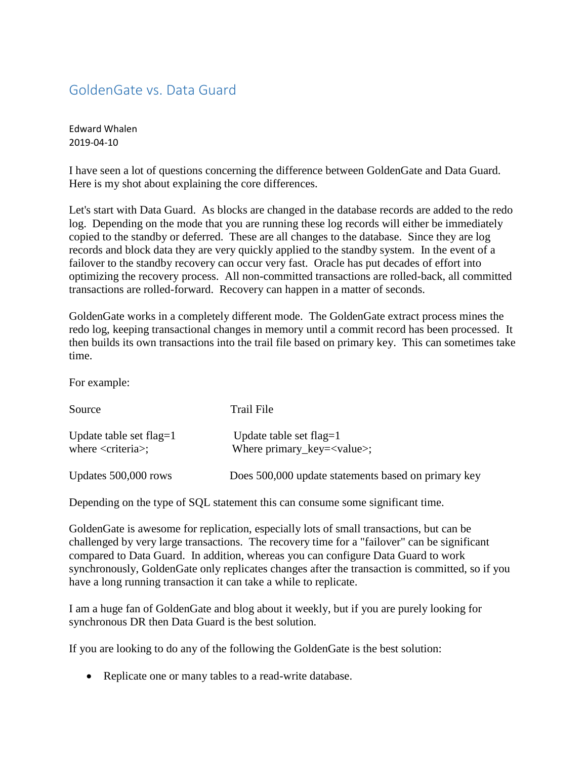## GoldenGate vs. Data Guard

Edward Whalen 2019-04-10

I have seen a lot of questions concerning the difference between GoldenGate and Data Guard. Here is my shot about explaining the core differences.

Let's start with Data Guard. As blocks are changed in the database records are added to the redo log. Depending on the mode that you are running these log records will either be immediately copied to the standby or deferred. These are all changes to the database. Since they are log records and block data they are very quickly applied to the standby system. In the event of a failover to the standby recovery can occur very fast. Oracle has put decades of effort into optimizing the recovery process. All non-committed transactions are rolled-back, all committed transactions are rolled-forward. Recovery can happen in a matter of seconds.

GoldenGate works in a completely different mode. The GoldenGate extract process mines the redo log, keeping transactional changes in memory until a commit record has been processed. It then builds its own transactions into the trail file based on primary key. This can sometimes take time.

For example:

| Source                                                             | Trail File                                                       |
|--------------------------------------------------------------------|------------------------------------------------------------------|
| Update table set flag= $1$<br>where $\langle$ criteria $\rangle$ ; | Update table set flag= $1$<br>Where $primary_{key} = < value>$ ; |
| Updates 500,000 rows                                               | Does 500,000 update statements based on primary key              |

Depending on the type of SQL statement this can consume some significant time.

GoldenGate is awesome for replication, especially lots of small transactions, but can be challenged by very large transactions. The recovery time for a "failover" can be significant compared to Data Guard. In addition, whereas you can configure Data Guard to work synchronously, GoldenGate only replicates changes after the transaction is committed, so if you have a long running transaction it can take a while to replicate.

I am a huge fan of GoldenGate and blog about it weekly, but if you are purely looking for synchronous DR then Data Guard is the best solution.

If you are looking to do any of the following the GoldenGate is the best solution:

• Replicate one or many tables to a read-write database.